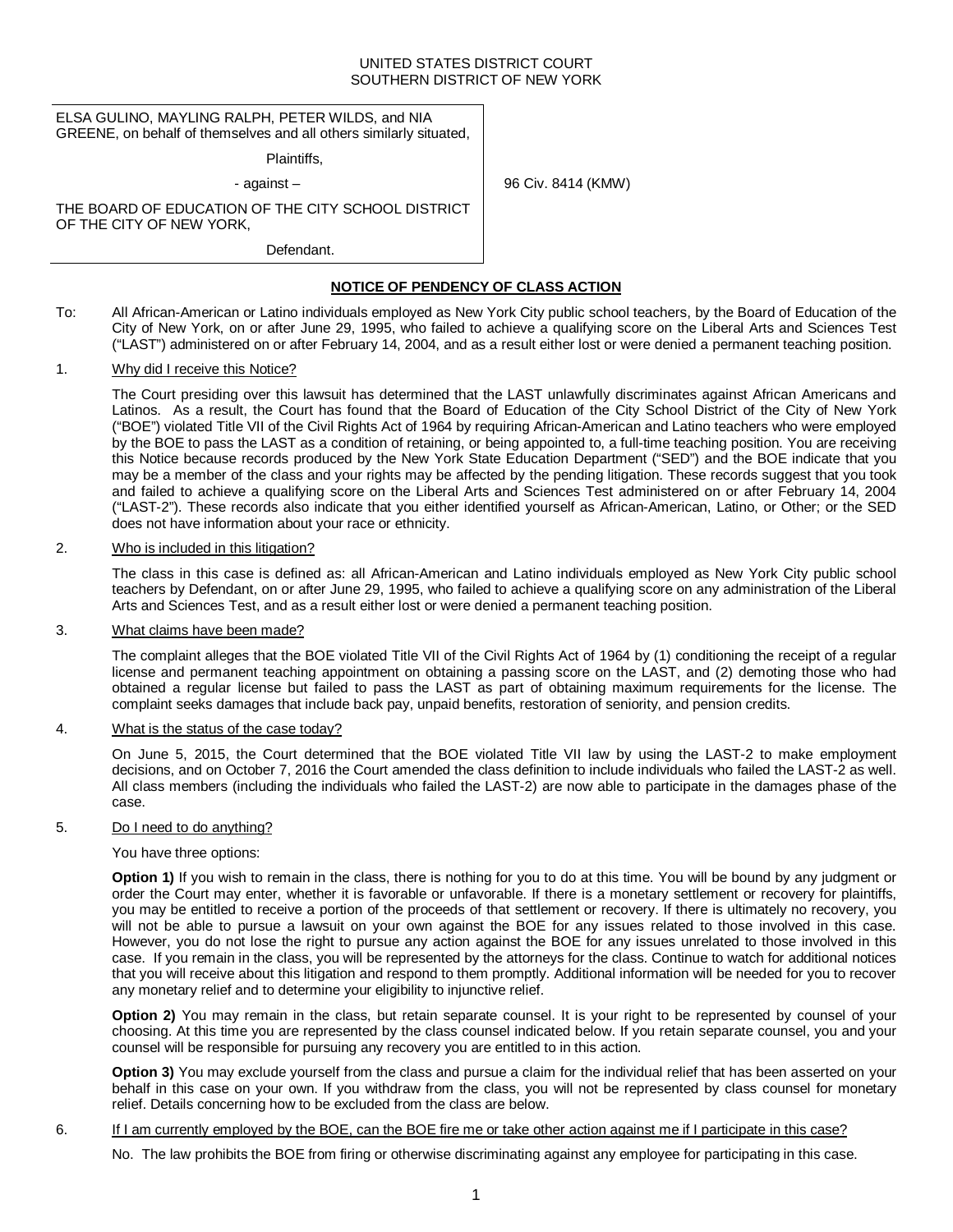### UNITED STATES DISTRICT COURT SOUTHERN DISTRICT OF NEW YORK

4 (KMW)

| ELSA GULINO, MAYLING RALPH, PETER WILDS, and NIA<br>GREENE, on behalf of themselves and all others similarly situated, |                   |
|------------------------------------------------------------------------------------------------------------------------|-------------------|
| Plaintiffs.                                                                                                            |                   |
| - against $-$                                                                                                          | 96 Civ. 8414 (KMW |
| THE BOARD OF EDUCATION OF THE CITY SCHOOL DISTRICT<br>OF THE CITY OF NEW YORK,                                         |                   |
| Defendant.                                                                                                             |                   |
| <b>NOTICE OF PENDENCY OF CLASS ACTION</b>                                                                              |                   |

To: All African-American or Latino individuals employed as New York City public school teachers, by the Board of Education of the City of New York, on or after June 29, 1995, who failed to achieve a qualifying score on the Liberal Arts and Sciences Test ("LAST") administered on or after February 14, 2004, and as a result either lost or were denied a permanent teaching position.

## 1. Why did I receive this Notice?

The Court presiding over this lawsuit has determined that the LAST unlawfully discriminates against African Americans and Latinos. As a result, the Court has found that the Board of Education of the City School District of the City of New York ("BOE") violated Title VII of the Civil Rights Act of 1964 by requiring African-American and Latino teachers who were employed by the BOE to pass the LAST as a condition of retaining, or being appointed to, a full-time teaching position. You are receiving this Notice because records produced by the New York State Education Department ("SED") and the BOE indicate that you may be a member of the class and your rights may be affected by the pending litigation. These records suggest that you took and failed to achieve a qualifying score on the Liberal Arts and Sciences Test administered on or after February 14, 2004 ("LAST-2"). These records also indicate that you either identified yourself as African-American, Latino, or Other; or the SED does not have information about your race or ethnicity.

### 2. Who is included in this litigation?

The class in this case is defined as: all African-American and Latino individuals employed as New York City public school teachers by Defendant, on or after June 29, 1995, who failed to achieve a qualifying score on any administration of the Liberal Arts and Sciences Test, and as a result either lost or were denied a permanent teaching position.

## 3. What claims have been made?

The complaint alleges that the BOE violated Title VII of the Civil Rights Act of 1964 by (1) conditioning the receipt of a regular license and permanent teaching appointment on obtaining a passing score on the LAST, and (2) demoting those who had obtained a regular license but failed to pass the LAST as part of obtaining maximum requirements for the license. The complaint seeks damages that include back pay, unpaid benefits, restoration of seniority, and pension credits.

## 4. What is the status of the case today?

On June 5, 2015, the Court determined that the BOE violated Title VII law by using the LAST-2 to make employment decisions, and on October 7, 2016 the Court amended the class definition to include individuals who failed the LAST-2 as well. All class members (including the individuals who failed the LAST-2) are now able to participate in the damages phase of the case.

## 5. Do I need to do anything?

#### You have three options:

**Option 1)** If you wish to remain in the class, there is nothing for you to do at this time. You will be bound by any judgment or order the Court may enter, whether it is favorable or unfavorable. If there is a monetary settlement or recovery for plaintiffs, you may be entitled to receive a portion of the proceeds of that settlement or recovery. If there is ultimately no recovery, you will not be able to pursue a lawsuit on your own against the BOE for any issues related to those involved in this case. However, you do not lose the right to pursue any action against the BOE for any issues unrelated to those involved in this case. If you remain in the class, you will be represented by the attorneys for the class. Continue to watch for additional notices that you will receive about this litigation and respond to them promptly. Additional information will be needed for you to recover any monetary relief and to determine your eligibility to injunctive relief.

**Option 2)** You may remain in the class, but retain separate counsel. It is your right to be represented by counsel of your choosing. At this time you are represented by the class counsel indicated below. If you retain separate counsel, you and your counsel will be responsible for pursuing any recovery you are entitled to in this action.

**Option 3)** You may exclude yourself from the class and pursue a claim for the individual relief that has been asserted on your behalf in this case on your own. If you withdraw from the class, you will not be represented by class counsel for monetary relief. Details concerning how to be excluded from the class are below.

### 6. If I am currently employed by the BOE, can the BOE fire me or take other action against me if I participate in this case?

No. The law prohibits the BOE from firing or otherwise discriminating against any employee for participating in this case.